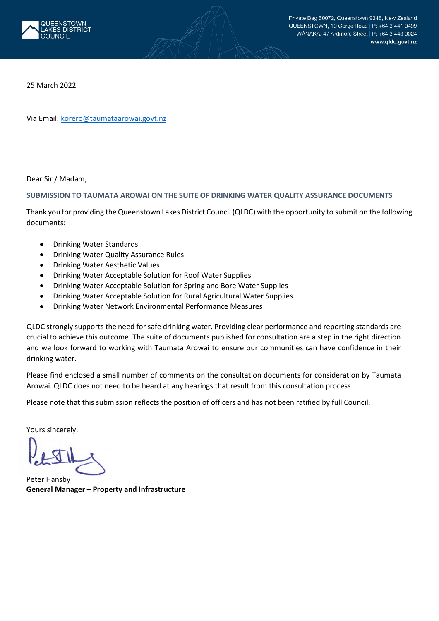

25 March 2022

Via Email: [korero@taumataarowai.govt.nz](mailto:korero@taumataarowai.govt.nz)

Dear Sir / Madam,

#### **SUBMISSION TO TAUMATA AROWAI ON THE SUITE OF DRINKING WATER QUALITY ASSURANCE DOCUMENTS**

Thank you for providing the Queenstown Lakes District Council (QLDC) with the opportunity to submit on the following documents:

- Drinking Water Standards
- Drinking Water Quality Assurance Rules
- Drinking Water Aesthetic Values
- Drinking Water Acceptable Solution for Roof Water Supplies
- Drinking Water Acceptable Solution for Spring and Bore Water Supplies
- Drinking Water Acceptable Solution for Rural Agricultural Water Supplies
- Drinking Water Network Environmental Performance Measures

QLDC strongly supports the need for safe drinking water. Providing clear performance and reporting standards are crucial to achieve this outcome. The suite of documents published for consultation are a step in the right direction and we look forward to working with Taumata Arowai to ensure our communities can have confidence in their drinking water.

Please find enclosed a small number of comments on the consultation documents for consideration by Taumata Arowai. QLDC does not need to be heard at any hearings that result from this consultation process.

Please note that this submission reflects the position of officers and has not been ratified by full Council.

Yours sincerely,

Peter Hansby **General Manager – Property and Infrastructure**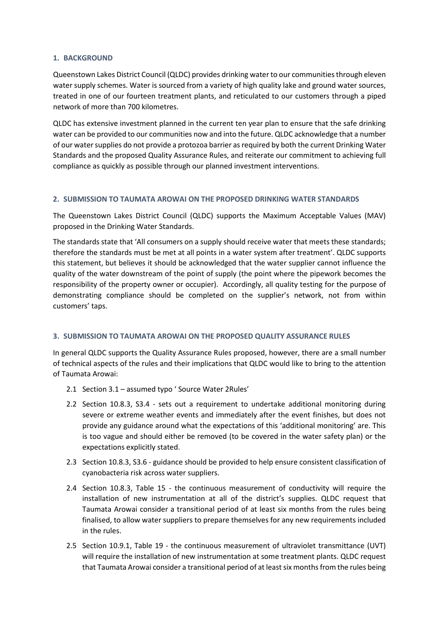#### **1. BACKGROUND**

Queenstown Lakes District Council (QLDC) provides drinking water to our communities through eleven water supply schemes. Water is sourced from a variety of high quality lake and ground water sources, treated in one of our fourteen treatment plants, and reticulated to our customers through a piped network of more than 700 kilometres.

QLDC has extensive investment planned in the current ten year plan to ensure that the safe drinking water can be provided to our communities now and into the future. QLDC acknowledge that a number of our water supplies do not provide a protozoa barrier as required by both the current Drinking Water Standards and the proposed Quality Assurance Rules, and reiterate our commitment to achieving full compliance as quickly as possible through our planned investment interventions.

## **2. SUBMISSION TO TAUMATA AROWAI ON THE PROPOSED DRINKING WATER STANDARDS**

The Queenstown Lakes District Council (QLDC) supports the Maximum Acceptable Values (MAV) proposed in the Drinking Water Standards.

The standards state that 'All consumers on a supply should receive water that meets these standards; therefore the standards must be met at all points in a water system after treatment'. QLDC supports this statement, but believes it should be acknowledged that the water supplier cannot influence the quality of the water downstream of the point of supply (the point where the pipework becomes the responsibility of the property owner or occupier). Accordingly, all quality testing for the purpose of demonstrating compliance should be completed on the supplier's network, not from within customers' taps.

#### **3. SUBMISSION TO TAUMATA AROWAI ON THE PROPOSED QUALITY ASSURANCE RULES**

In general QLDC supports the Quality Assurance Rules proposed, however, there are a small number of technical aspects of the rules and their implications that QLDC would like to bring to the attention of Taumata Arowai:

- 2.1 Section 3.1 assumed typo ' Source Water 2Rules'
- 2.2 Section 10.8.3, S3.4 sets out a requirement to undertake additional monitoring during severe or extreme weather events and immediately after the event finishes, but does not provide any guidance around what the expectations of this 'additional monitoring' are. This is too vague and should either be removed (to be covered in the water safety plan) or the expectations explicitly stated.
- 2.3 Section 10.8.3, S3.6 guidance should be provided to help ensure consistent classification of cyanobacteria risk across water suppliers.
- 2.4 Section 10.8.3, Table 15 the continuous measurement of conductivity will require the installation of new instrumentation at all of the district's supplies. QLDC request that Taumata Arowai consider a transitional period of at least six months from the rules being finalised, to allow water suppliers to prepare themselves for any new requirements included in the rules.
- 2.5 Section 10.9.1, Table 19 the continuous measurement of ultraviolet transmittance (UVT) will require the installation of new instrumentation at some treatment plants. QLDC request that Taumata Arowai consider a transitional period of at least six months from the rules being